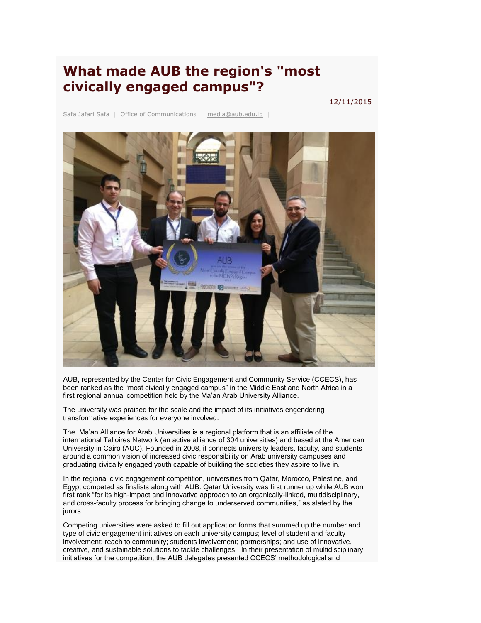## **What made AUB the region's "most civically engaged campus"?**

12/11/2015

Safa Jafari Safa | Office of Communications | [media@aub.edu.lb](mailto:media@aub.edu.lb) |



AUB, represented by the Center for Civic Engagement and Community Service (CCECS), has been ranked as the "most civically engaged campus" in the Middle East and North Africa in a first regional annual competition held by the Ma'an Arab University Alliance.

The university was praised for the scale and the impact of its initiatives engendering transformative experiences for everyone involved.

The Ma'an Alliance for Arab Universities is a regional platform that is an affiliate of the international Talloires Network (an active alliance of 304 universities) and based at the American University in Cairo (AUC). Founded in 2008, it connects university leaders, faculty, and students around a common vision of increased civic responsibility on Arab university campuses and graduating civically engaged youth capable of building the societies they aspire to live in.

In the regional civic engagement competition, universities from Qatar, Morocco, Palestine, and Egypt competed as finalists along with AUB. Qatar University was first runner up while AUB won first rank "for its high-impact and innovative approach to an organically-linked, multidisciplinary, and cross-faculty process for bringing change to underserved communities," as stated by the jurors.

Competing universities were asked to fill out application forms that summed up the number and type of civic engagement initiatives on each university campus; level of student and faculty involvement; reach to community; students involvement; partnerships; and use of innovative, creative, and sustainable solutions to tackle challenges. In their presentation of multidisciplinary initiatives for the competition, the AUB delegates presented CCECS' methodological and